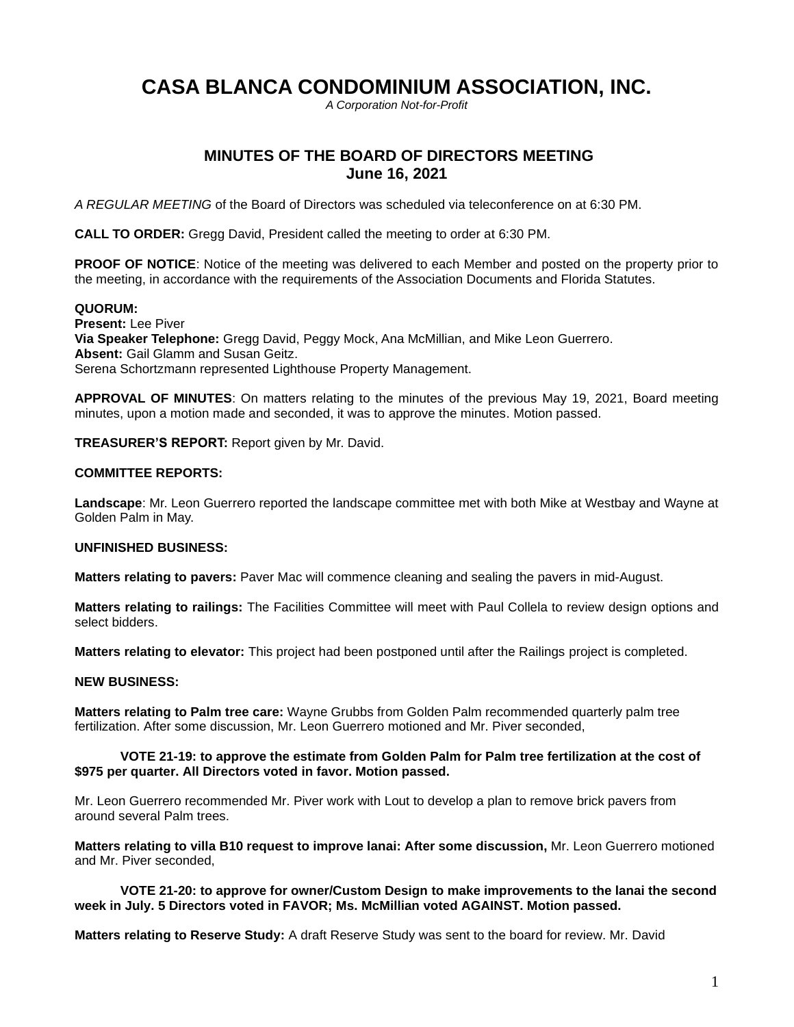# **CASA BLANCA CONDOMINIUM ASSOCIATION, INC.**

*A Corporation Not-for-Profit*

# **MINUTES OF THE BOARD OF DIRECTORS MEETING June 16, 2021**

*A REGULAR MEETING* of the Board of Directors was scheduled via teleconference on at 6:30 PM.

**CALL TO ORDER:** Gregg David, President called the meeting to order at 6:30 PM.

**PROOF OF NOTICE:** Notice of the meeting was delivered to each Member and posted on the property prior to the meeting, in accordance with the requirements of the Association Documents and Florida Statutes.

# **QUORUM:**

**Present:** Lee Piver **Via Speaker Telephone:** Gregg David, Peggy Mock, Ana McMillian, and Mike Leon Guerrero. **Absent:** Gail Glamm and Susan Geitz. Serena Schortzmann represented Lighthouse Property Management.

**APPROVAL OF MINUTES**: On matters relating to the minutes of the previous May 19, 2021, Board meeting minutes, upon a motion made and seconded, it was to approve the minutes. Motion passed.

**TREASURER'S REPORT:** Report given by Mr. David.

#### **COMMITTEE REPORTS:**

**Landscape**: Mr. Leon Guerrero reported the landscape committee met with both Mike at Westbay and Wayne at Golden Palm in May.

# **UNFINISHED BUSINESS:**

**Matters relating to pavers:** Paver Mac will commence cleaning and sealing the pavers in mid-August.

**Matters relating to railings:** The Facilities Committee will meet with Paul Collela to review design options and select bidders.

**Matters relating to elevator:** This project had been postponed until after the Railings project is completed.

# **NEW BUSINESS:**

**Matters relating to Palm tree care:** Wayne Grubbs from Golden Palm recommended quarterly palm tree fertilization. After some discussion, Mr. Leon Guerrero motioned and Mr. Piver seconded,

# **VOTE 21-19: to approve the estimate from Golden Palm for Palm tree fertilization at the cost of \$975 per quarter. All Directors voted in favor. Motion passed.**

Mr. Leon Guerrero recommended Mr. Piver work with Lout to develop a plan to remove brick pavers from around several Palm trees.

**Matters relating to villa B10 request to improve lanai: After some discussion,** Mr. Leon Guerrero motioned and Mr. Piver seconded,

**VOTE 21-20: to approve for owner/Custom Design to make improvements to the lanai the second week in July. 5 Directors voted in FAVOR; Ms. McMillian voted AGAINST. Motion passed.**

**Matters relating to Reserve Study:** A draft Reserve Study was sent to the board for review. Mr. David